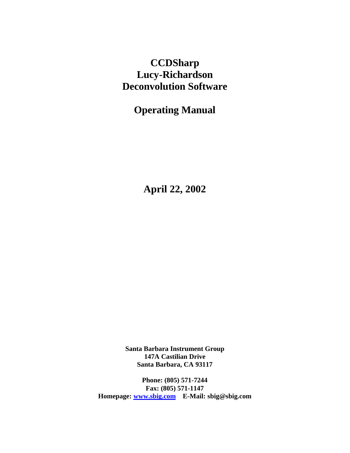# **CCDSharp Lucy-Richardson Deconvolution Software**

**Operating Manual**

**April 22, 2002**

**Santa Barbara Instrument Group 147A Castilian Drive Santa Barbara, CA 93117**

**Phone: (805) 571-7244 Fax: (805) 571-1147 Homepage: www.sbig.com E-Mail: sbig@sbig.com**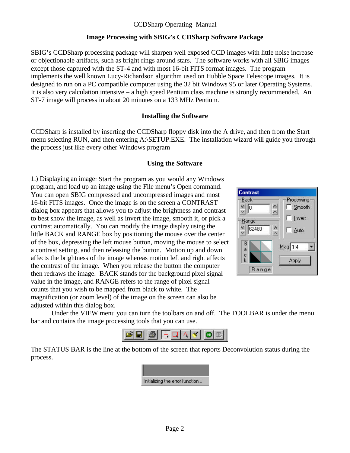# **Image Processing with SBIG's CCDSharp Software Package**

SBIG's CCDSharp processing package will sharpen well exposed CCD images with little noise increase or objectionable artifacts, such as bright rings around stars. The software works with all SBIG images except those captured with the ST-4 and with most 16-bit FITS format images. The program implements the well known Lucy-Richardson algorithm used on Hubble Space Telescope images. It is designed to run on a PC compatible computer using the 32 bit Windows 95 or later Operating Systems. It is also very calculation intensive – a high speed Pentium class machine is strongly recommended. An ST-7 image will process in about 20 minutes on a 133 MHz Pentium.

### **Installing the Software**

CCDSharp is installed by inserting the CCDSharp floppy disk into the A drive, and then from the Start menu selecting RUN, and then entering A:\SETUP.EXE. The installation wizard will guide you through the process just like every other Windows program

### **Using the Software**

1.) Displaying an image: Start the program as you would any Windows program, and load up an image using the File menu's Open command. You can open SBIG compressed and uncompressed images and most 16-bit FITS images. Once the image is on the screen a CONTRAST dialog box appears that allows you to adjust the brightness and contrast to best show the image, as well as invert the image, smooth it, or pick a contrast automatically. You can modify the image display using the little BACK and RANGE box by positioning the mouse over the center of the box, depressing the left mouse button, moving the mouse to select a contrast setting, and then releasing the button. Motion up and down affects the brightness of the image whereas motion left and right affects the contrast of the image. When you release the button the computer then redraws the image. BACK stands for the background pixel signal value in the image, and RANGE refers to the range of pixel signal counts that you wish to be mapped from black to white. The magnification (or zoom level) of the image on the screen can also be adjusted within this dialog box.



Under the VIEW menu you can turn the toolbars on and off. The TOOLBAR is under the menu bar and contains the image processing tools that you can use.



The STATUS BAR is the line at the bottom of the screen that reports Deconvolution status during the process.

| Initializing the error function |
|---------------------------------|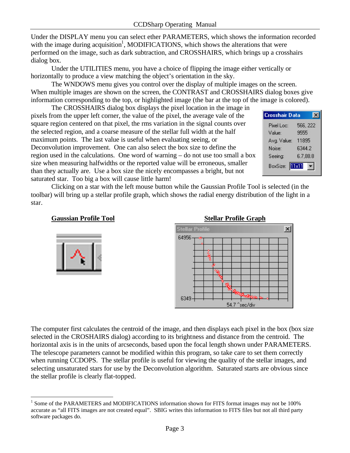Under the DISPLAY menu you can select ether PARAMETERS, which shows the information recorded with the image during acquisition<sup>1</sup>, MODIFICATIONS, which shows the alterations that were performed on the image, such as dark subtraction, and CROSSHAIRS, which brings up a crosshairs dialog box.

Under the UTILITIES menu, you have a choice of flipping the image either vertically or horizontally to produce a view matching the object's orientation in the sky.

The WNDOWS menu gives you control over the display of multiple images on the screen. When multiple images are shown on the screen, the CONTRAST and CROSSHAIRS dialog boxes give information corresponding to the top, or highlighted image (the bar at the top of the image is colored).

The CROSSHAIRS dialog box displays the pixel location in the image in pixels from the upper left corner, the value of the pixel, the average vale of the square region centered on that pixel, the rms variation in the signal counts over the selected region, and a coarse measure of the stellar full width at the half maximum points. The last value is useful when evaluating seeing, or Deconvolution improvement. One can also select the box size to define the region used in the calculations. One word of warning – do not use too small a box size when measuring halfwidths or the reported value will be erroneous, smaller than they actually are. Use a box size the nicely encompasses a bright, but not saturated star. Too big a box will cause little harm!



Clicking on a star with the left mouse button while the Gaussian Profile Tool is selected (in the toolbar) will bring up a stellar profile graph, which shows the radial energy distribution of the light in a star.

# **Gaussian Profile Tool** Stellar Profile Graph





The computer first calculates the centroid of the image, and then displays each pixel in the box (box size selected in the CROSHAIRS dialog) according to its brightness and distance from the centroid. The horizontal axis is in the units of arcseconds, based upon the focal length shown under PARAMETERS. The telescope parameters cannot be modified within this program, so take care to set them correctly when running CCDOPS. The stellar profile is useful for viewing the quality of the stellar images, and selecting unsaturated stars for use by the Deconvolution algorithm. Saturated starts are obvious since the stellar profile is clearly flat-topped.

<sup>&</sup>lt;u>.</u> <sup>1</sup> Some of the PARAMETERS and MODIFICATIONS information shown for FITS format images may not be 100% accurate as "all FITS images are not created equal". SBIG writes this information to FITS files but not all third party software packages do.